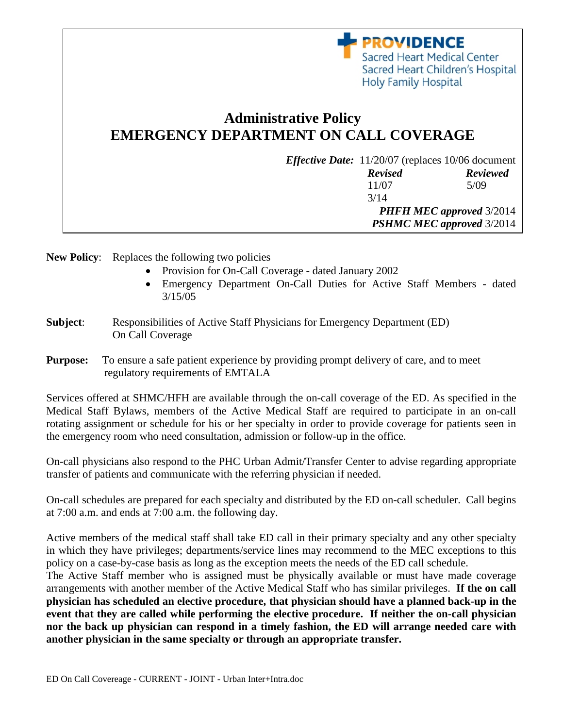

New Policy: Replaces the following two policies

- Provision for On-Call Coverage dated January 2002
- Emergency Department On-Call Duties for Active Staff Members dated 3/15/05

*PHFH MEC approved* 3/2014 *PSHMC MEC approved* 3/2014

**PROVIDENCE** 

Holy Family Hospital

Sacred Heart Medical Center Sacred Heart Children's Hospital

- **Subject**: Responsibilities of Active Staff Physicians for Emergency Department (ED) On Call Coverage
- **Purpose:** To ensure a safe patient experience by providing prompt delivery of care, and to meet regulatory requirements of EMTALA

Services offered at SHMC/HFH are available through the on-call coverage of the ED. As specified in the Medical Staff Bylaws, members of the Active Medical Staff are required to participate in an on-call rotating assignment or schedule for his or her specialty in order to provide coverage for patients seen in the emergency room who need consultation, admission or follow-up in the office.

On-call physicians also respond to the PHC Urban Admit/Transfer Center to advise regarding appropriate transfer of patients and communicate with the referring physician if needed.

On-call schedules are prepared for each specialty and distributed by the ED on-call scheduler. Call begins at 7:00 a.m. and ends at 7:00 a.m. the following day.

Active members of the medical staff shall take ED call in their primary specialty and any other specialty in which they have privileges; departments/service lines may recommend to the MEC exceptions to this policy on a case-by-case basis as long as the exception meets the needs of the ED call schedule.

The Active Staff member who is assigned must be physically available or must have made coverage arrangements with another member of the Active Medical Staff who has similar privileges. **If the on call physician has scheduled an elective procedure, that physician should have a planned back-up in the event that they are called while performing the elective procedure. If neither the on-call physician nor the back up physician can respond in a timely fashion, the ED will arrange needed care with another physician in the same specialty or through an appropriate transfer.**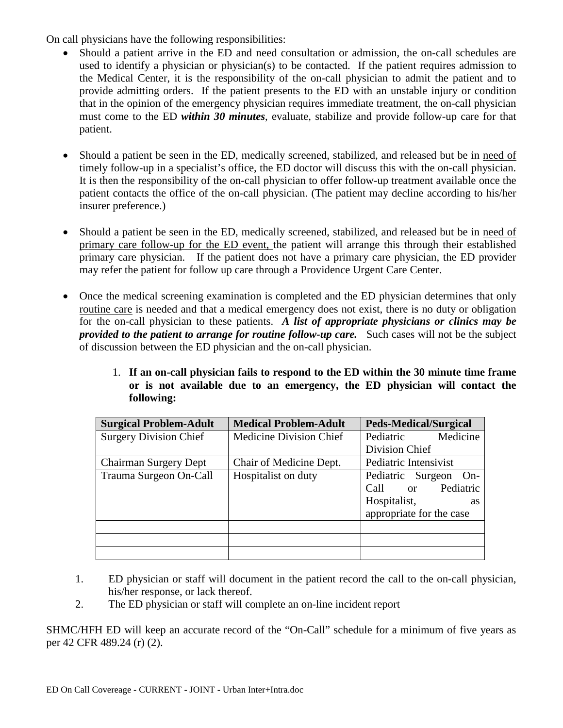On call physicians have the following responsibilities:

- Should a patient arrive in the ED and need consultation or admission, the on-call schedules are used to identify a physician or physician(s) to be contacted. If the patient requires admission to the Medical Center, it is the responsibility of the on-call physician to admit the patient and to provide admitting orders. If the patient presents to the ED with an unstable injury or condition that in the opinion of the emergency physician requires immediate treatment, the on-call physician must come to the ED *within 30 minutes*, evaluate, stabilize and provide follow-up care for that patient.
- Should a patient be seen in the ED, medically screened, stabilized, and released but be in need of timely follow-up in a specialist's office, the ED doctor will discuss this with the on-call physician. It is then the responsibility of the on-call physician to offer follow-up treatment available once the patient contacts the office of the on-call physician. (The patient may decline according to his/her insurer preference.)
- Should a patient be seen in the ED, medically screened, stabilized, and released but be in need of primary care follow-up for the ED event, the patient will arrange this through their established primary care physician. If the patient does not have a primary care physician, the ED provider may refer the patient for follow up care through a Providence Urgent Care Center.
- Once the medical screening examination is completed and the ED physician determines that only routine care is needed and that a medical emergency does not exist, there is no duty or obligation for the on-call physician to these patients. *A list of appropriate physicians or clinics may be provided to the patient to arrange for routine follow-up care.* Such cases will not be the subject of discussion between the ED physician and the on-call physician.
	- 1. **If an on-call physician fails to respond to the ED within the 30 minute time frame or is not available due to an emergency, the ED physician will contact the following:**

| <b>Surgical Problem-Adult</b> | <b>Medical Problem-Adult</b> | <b>Peds-Medical/Surgical</b> |
|-------------------------------|------------------------------|------------------------------|
| <b>Surgery Division Chief</b> | Medicine Division Chief      | Medicine<br>Pediatric        |
|                               |                              | Division Chief               |
| <b>Chairman Surgery Dept</b>  | Chair of Medicine Dept.      | Pediatric Intensivist        |
| Trauma Surgeon On-Call        | Hospitalist on duty          | Pediatric Surgeon<br>$On-$   |
|                               |                              | Pediatric<br>Call or         |
|                               |                              | Hospitalist,<br>as           |
|                               |                              | appropriate for the case     |
|                               |                              |                              |
|                               |                              |                              |
|                               |                              |                              |

- 1. ED physician or staff will document in the patient record the call to the on-call physician, his/her response, or lack thereof.
- 2. The ED physician or staff will complete an on-line incident report

SHMC/HFH ED will keep an accurate record of the "On-Call" schedule for a minimum of five years as per 42 CFR 489.24 (r) (2).